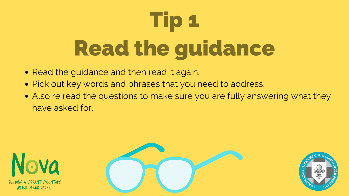- Read the guidance and then read it again.
- Pick out key words and phrases that you need to address.
- Also re read the questions to make sure you are fully answering what they have asked for.









## Tip 1 Read the guidance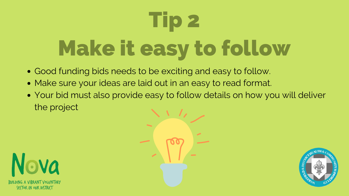- Good funding bids needs to be exciting and easy to follow.
- Make sure your ideas are laid out in an easy to read format.
- Your bid must also provide easy to follow details on how you will deliver the project







### Tip 2 Make it easy to follow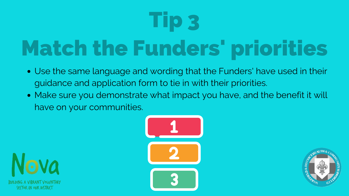- Use the same language and wording that the Funders' have used in their guidance and application form to tie in with their priorities.
- Make sure you demonstrate what impact you have, and the benefit it will have on your communities.







### Tip 3 Match the Funders' priorities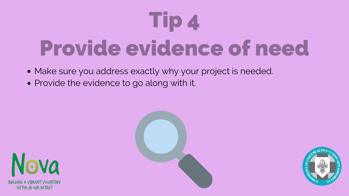### Tip 4 Provide evidence of need

- Make sure you address exactly why your project is needed.
- Provide the evidence to go along with it.







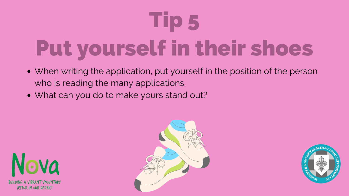- When writing the application, put yourself in the position of the person who is reading the many applications.
- What can you do to make yours stand out?









### Tip 5 Put yourself in their shoes